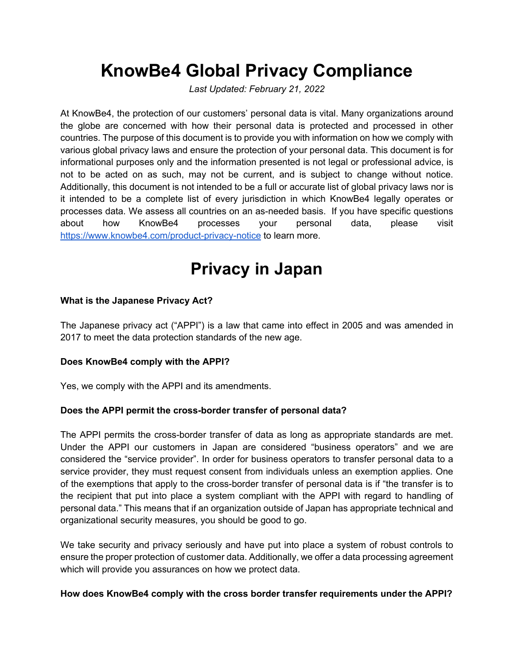# **KnowBe4 Global Privacy Compliance**

*Last Updated: February 21, 2022*

At KnowBe4, the protection of our customers' personal data is vital. Many organizations around the globe are concerned with how their personal data is protected and processed in other countries. The purpose of this document is to provide you with information on how we comply with various global privacy laws and ensure the protection of your personal data. This document is for informational purposes only and the information presented is not legal or professional advice, is not to be acted on as such, may not be current, and is subject to change without notice. Additionally, this document is not intended to be a full or accurate list of global privacy laws nor is it intended to be a complete list of every jurisdiction in which KnowBe4 legally operates or processes data. We assess all countries on an as-needed basis. If you have specific questions about how KnowBe4 processes your personal data, please visit https://www.knowbe4.com/product-privacy-notice to learn more.

## **Privacy in Japan**

#### **What is the Japanese Privacy Act?**

The Japanese privacy act ("APPI") is a law that came into effect in 2005 and was amended in 2017 to meet the data protection standards of the new age.

#### **Does KnowBe4 comply with the APPI?**

Yes, we comply with the APPI and its amendments.

#### **Does the APPI permit the cross-border transfer of personal data?**

The APPI permits the cross-border transfer of data as long as appropriate standards are met. Under the APPI our customers in Japan are considered "business operators" and we are considered the "service provider". In order for business operators to transfer personal data to a service provider, they must request consent from individuals unless an exemption applies. One of the exemptions that apply to the cross-border transfer of personal data is if "the transfer is to the recipient that put into place a system compliant with the APPI with regard to handling of personal data." This means that if an organization outside of Japan has appropriate technical and organizational security measures, you should be good to go.

We take security and privacy seriously and have put into place a system of robust controls to ensure the proper protection of customer data. Additionally, we offer a data processing agreement which will provide you assurances on how we protect data.

#### **How does KnowBe4 comply with the cross border transfer requirements under the APPI?**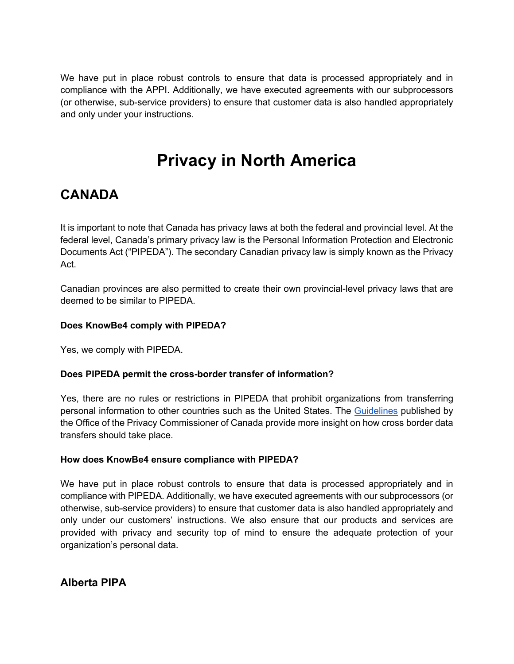We have put in place robust controls to ensure that data is processed appropriately and in compliance with the APPI. Additionally, we have executed agreements with our subprocessors (or otherwise, sub-service providers) to ensure that customer data is also handled appropriately and only under your instructions.

## **Privacy in North America**

### **CANADA**

It is important to note that Canada has privacy laws at both the federal and provincial level. At the federal level, Canada's primary privacy law is the Personal Information Protection and Electronic Documents Act ("PIPEDA"). The secondary Canadian privacy law is simply known as the Privacy Act.

Canadian provinces are also permitted to create their own provincial-level privacy laws that are deemed to be similar to PIPEDA.

#### **Does KnowBe4 comply with PIPEDA?**

Yes, we comply with PIPEDA.

#### **Does PIPEDA permit the cross-border transfer of information?**

Yes, there are no rules or restrictions in PIPEDA that prohibit organizations from transferring personal information to other countries such as the United States. The Guidelines published by the Office of the Privacy Commissioner of Canada provide more insight on how cross border data transfers should take place.

#### **How does KnowBe4 ensure compliance with PIPEDA?**

We have put in place robust controls to ensure that data is processed appropriately and in compliance with PIPEDA. Additionally, we have executed agreements with our subprocessors (or otherwise, sub-service providers) to ensure that customer data is also handled appropriately and only under our customers' instructions. We also ensure that our products and services are provided with privacy and security top of mind to ensure the adequate protection of your organization's personal data.

**Alberta PIPA**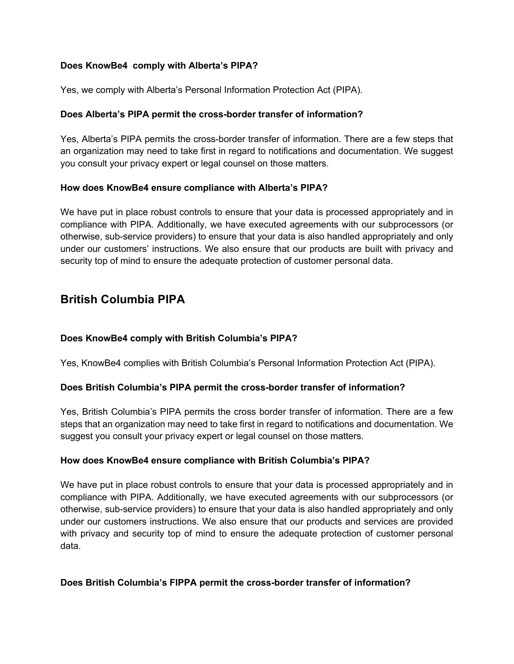#### **Does KnowBe4 comply with Alberta's PIPA?**

Yes, we comply with Alberta's Personal Information Protection Act (PIPA).

#### **Does Alberta's PIPA permit the cross-border transfer of information?**

Yes, Alberta's PIPA permits the cross-border transfer of information. There are a few steps that an organization may need to take first in regard to notifications and documentation. We suggest you consult your privacy expert or legal counsel on those matters.

#### **How does KnowBe4 ensure compliance with Alberta's PIPA?**

We have put in place robust controls to ensure that your data is processed appropriately and in compliance with PIPA. Additionally, we have executed agreements with our subprocessors (or otherwise, sub-service providers) to ensure that your data is also handled appropriately and only under our customers' instructions. We also ensure that our products are built with privacy and security top of mind to ensure the adequate protection of customer personal data.

### **British Columbia PIPA**

#### **Does KnowBe4 comply with British Columbia's PIPA?**

Yes, KnowBe4 complies with British Columbia's Personal Information Protection Act (PIPA).

#### **Does British Columbia's PIPA permit the cross-border transfer of information?**

Yes, British Columbia's PIPA permits the cross border transfer of information. There are a few steps that an organization may need to take first in regard to notifications and documentation. We suggest you consult your privacy expert or legal counsel on those matters.

#### **How does KnowBe4 ensure compliance with British Columbia's PIPA?**

We have put in place robust controls to ensure that your data is processed appropriately and in compliance with PIPA. Additionally, we have executed agreements with our subprocessors (or otherwise, sub-service providers) to ensure that your data is also handled appropriately and only under our customers instructions. We also ensure that our products and services are provided with privacy and security top of mind to ensure the adequate protection of customer personal data.

#### **Does British Columbia's FIPPA permit the cross-border transfer of information?**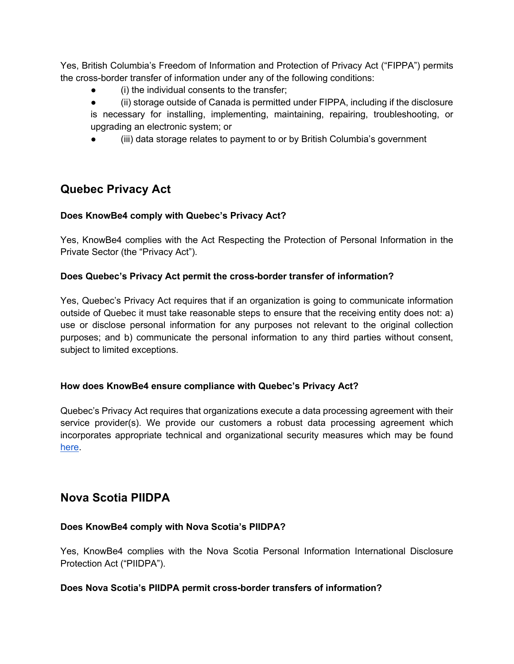Yes, British Columbia's Freedom of Information and Protection of Privacy Act ("FIPPA") permits the cross-border transfer of information under any of the following conditions:

- (i) the individual consents to the transfer;
- (ii) storage outside of Canada is permitted under FIPPA, including if the disclosure is necessary for installing, implementing, maintaining, repairing, troubleshooting, or upgrading an electronic system; or
- (iii) data storage relates to payment to or by British Columbia's government

### **Quebec Privacy Act**

#### **Does KnowBe4 comply with Quebec's Privacy Act?**

Yes, KnowBe4 complies with the Act Respecting the Protection of Personal Information in the Private Sector (the "Privacy Act").

#### **Does Quebec's Privacy Act permit the cross-border transfer of information?**

Yes, Quebec's Privacy Act requires that if an organization is going to communicate information outside of Quebec it must take reasonable steps to ensure that the receiving entity does not: a) use or disclose personal information for any purposes not relevant to the original collection purposes; and b) communicate the personal information to any third parties without consent, subject to limited exceptions.

#### **How does KnowBe4 ensure compliance with Quebec's Privacy Act?**

Quebec's Privacy Act requires that organizations execute a data processing agreement with their service provider(s). We provide our customers a robust data processing agreement which incorporates appropriate technical and organizational security measures which may be found here.

### **Nova Scotia PIIDPA**

#### **Does KnowBe4 comply with Nova Scotia's PIIDPA?**

Yes, KnowBe4 complies with the Nova Scotia Personal Information International Disclosure Protection Act ("PIIDPA").

#### **Does Nova Scotia's PIIDPA permit cross-border transfers of information?**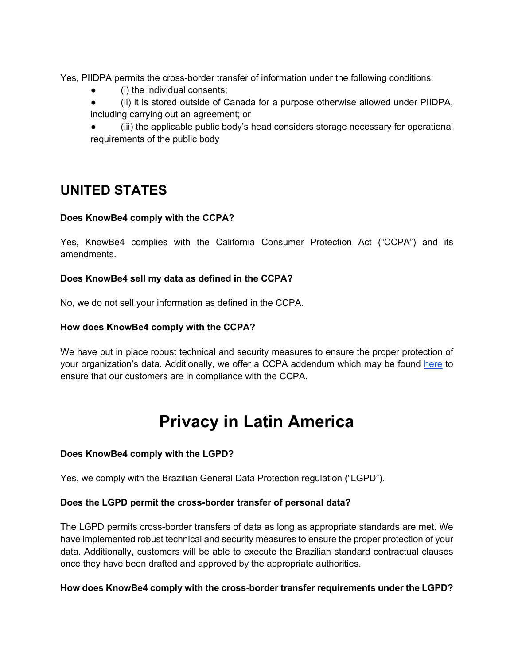Yes, PIIDPA permits the cross-border transfer of information under the following conditions:

- (i) the individual consents;
- (ii) it is stored outside of Canada for a purpose otherwise allowed under PIIDPA, including carrying out an agreement; or
- (iii) the applicable public body's head considers storage necessary for operational requirements of the public body

### **UNITED STATES**

#### **Does KnowBe4 comply with the CCPA?**

Yes, KnowBe4 complies with the California Consumer Protection Act ("CCPA") and its amendments.

#### **Does KnowBe4 sell my data as defined in the CCPA?**

No, we do not sell your information as defined in the CCPA.

#### **How does KnowBe4 comply with the CCPA?**

We have put in place robust technical and security measures to ensure the proper protection of your organization's data. Additionally, we offer a CCPA addendum which may be found here to ensure that our customers are in compliance with the CCPA.

### **Privacy in Latin America**

#### **Does KnowBe4 comply with the LGPD?**

Yes, we comply with the Brazilian General Data Protection regulation ("LGPD").

#### **Does the LGPD permit the cross-border transfer of personal data?**

The LGPD permits cross-border transfers of data as long as appropriate standards are met. We have implemented robust technical and security measures to ensure the proper protection of your data. Additionally, customers will be able to execute the Brazilian standard contractual clauses once they have been drafted and approved by the appropriate authorities.

#### **How does KnowBe4 comply with the cross-border transfer requirements under the LGPD?**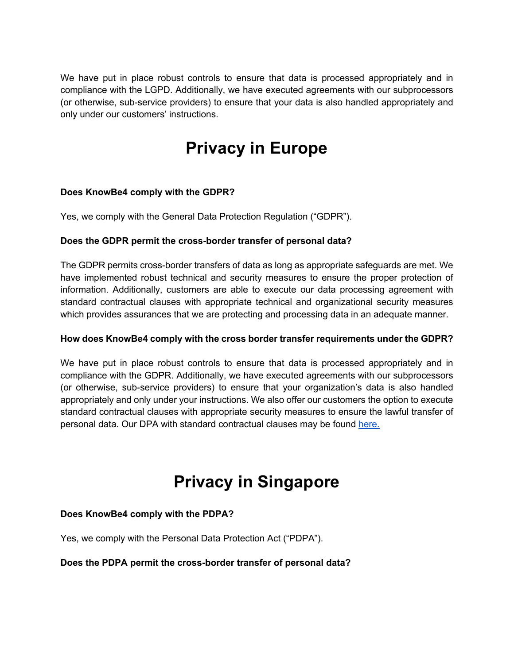We have put in place robust controls to ensure that data is processed appropriately and in compliance with the LGPD. Additionally, we have executed agreements with our subprocessors (or otherwise, sub-service providers) to ensure that your data is also handled appropriately and only under our customers' instructions.

# **Privacy in Europe**

#### **Does KnowBe4 comply with the GDPR?**

Yes, we comply with the General Data Protection Regulation ("GDPR").

#### **Does the GDPR permit the cross-border transfer of personal data?**

The GDPR permits cross-border transfers of data as long as appropriate safeguards are met. We have implemented robust technical and security measures to ensure the proper protection of information. Additionally, customers are able to execute our data processing agreement with standard contractual clauses with appropriate technical and organizational security measures which provides assurances that we are protecting and processing data in an adequate manner.

#### **How does KnowBe4 comply with the cross border transfer requirements under the GDPR?**

We have put in place robust controls to ensure that data is processed appropriately and in compliance with the GDPR. Additionally, we have executed agreements with our subprocessors (or otherwise, sub-service providers) to ensure that your organization's data is also handled appropriately and only under your instructions. We also offer our customers the option to execute standard contractual clauses with appropriate security measures to ensure the lawful transfer of personal data. Our DPA with standard contractual clauses may be found here.

### **Privacy in Singapore**

#### **Does KnowBe4 comply with the PDPA?**

Yes, we comply with the Personal Data Protection Act ("PDPA").

#### **Does the PDPA permit the cross-border transfer of personal data?**